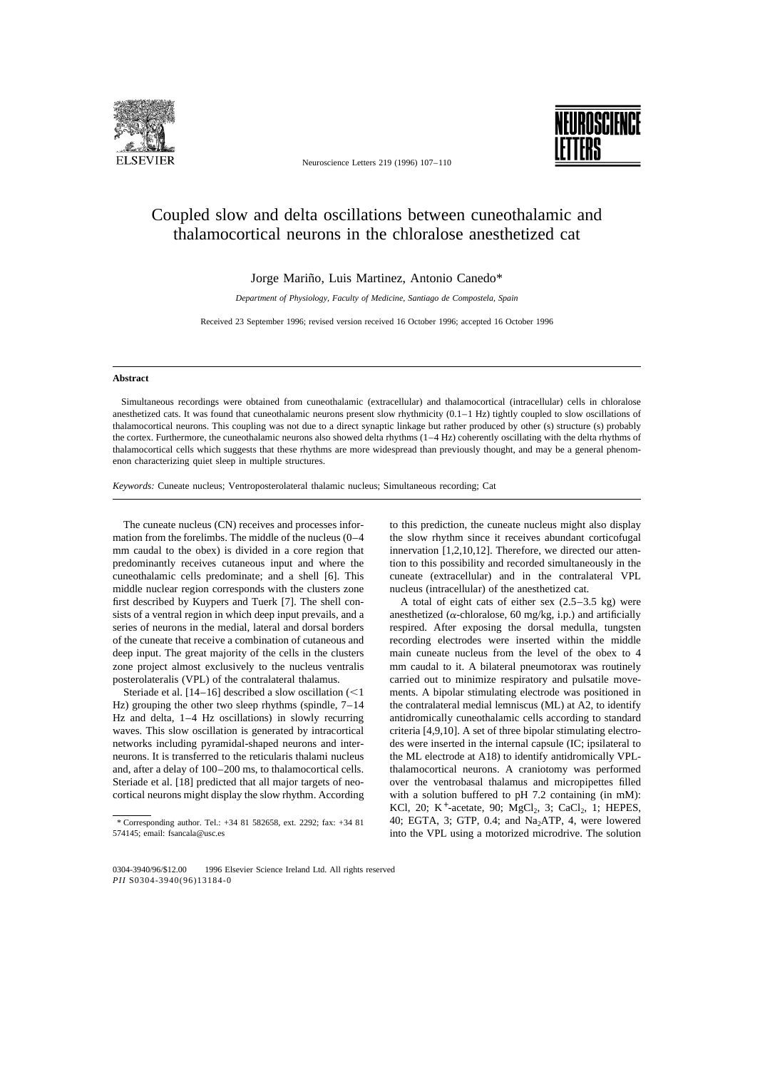

Neuroscience Letters 219 (1996) 107–110



## Coupled slow and delta oscillations between cuneothalamic and thalamocortical neurons in the chloralose anesthetized cat

Jorge Mariño, Luis Martinez, Antonio Canedo\*

*Department of Physiology, Faculty of Medicine, Santiago de Compostela, Spain*

Received 23 September 1996; revised version received 16 October 1996; accepted 16 October 1996

## **Abstract**

Simultaneous recordings were obtained from cuneothalamic (extracellular) and thalamocortical (intracellular) cells in chloralose anesthetized cats. It was found that cuneothalamic neurons present slow rhythmicity  $(0.1-1 Hz)$  tightly coupled to slow oscillations of thalamocortical neurons. This coupling was not due to a direct synaptic linkage but rather produced by other (s) structure (s) probably the cortex. Furthermore, the cuneothalamic neurons also showed delta rhythms (1–4 Hz) coherently oscillating with the delta rhythms of thalamocortical cells which suggests that these rhythms are more widespread than previously thought, and may be a general phenomenon characterizing quiet sleep in multiple structures.

*Keywords:* Cuneate nucleus; Ventroposterolateral thalamic nucleus; Simultaneous recording; Cat

The cuneate nucleus (CN) receives and processes information from the forelimbs. The middle of the nucleus (0–4 mm caudal to the obex) is divided in a core region that predominantly receives cutaneous input and where the cuneothalamic cells predominate; and a shell [6]. This middle nuclear region corresponds with the clusters zone first described by Kuypers and Tuerk [7]. The shell consists of a ventral region in which deep input prevails, and a series of neurons in the medial, lateral and dorsal borders of the cuneate that receive a combination of cutaneous and deep input. The great majority of the cells in the clusters zone project almost exclusively to the nucleus ventralis posterolateralis (VPL) of the contralateral thalamus.

Steriade et al.  $[14–16]$  described a slow oscillation  $(<1$ Hz) grouping the other two sleep rhythms (spindle, 7–14 Hz and delta, 1–4 Hz oscillations) in slowly recurring waves. This slow oscillation is generated by intracortical networks including pyramidal-shaped neurons and interneurons. It is transferred to the reticularis thalami nucleus and, after a delay of 100–200 ms, to thalamocortical cells. Steriade et al. [18] predicted that all major targets of neocortical neurons might display the slow rhythm. According

to this prediction, the cuneate nucleus might also display the slow rhythm since it receives abundant corticofugal innervation [1,2,10,12]. Therefore, we directed our attention to this possibility and recorded simultaneously in the cuneate (extracellular) and in the contralateral VPL nucleus (intracellular) of the anesthetized cat.

A total of eight cats of either sex  $(2.5-3.5 \text{ kg})$  were anesthetized ( $\alpha$ -chloralose, 60 mg/kg, i.p.) and artificially respired. After exposing the dorsal medulla, tungsten recording electrodes were inserted within the middle main cuneate nucleus from the level of the obex to 4 mm caudal to it. A bilateral pneumotorax was routinely carried out to minimize respiratory and pulsatile movements. A bipolar stimulating electrode was positioned in the contralateral medial lemniscus (ML) at A2, to identify antidromically cuneothalamic cells according to standard criteria [4,9,10]. A set of three bipolar stimulating electrodes were inserted in the internal capsule (IC; ipsilateral to the ML electrode at A18) to identify antidromically VPLthalamocortical neurons. A craniotomy was performed over the ventrobasal thalamus and micropipettes filled with a solution buffered to pH 7.2 containing (in mM): KCl, 20; K<sup>+</sup>-acetate, 90; MgCl<sub>2</sub>, 3; CaCl<sub>2</sub>, 1; HEPES, 40; EGTA, 3; GTP, 0.4; and  $Na<sub>2</sub>ATP$ , 4, were lowered into the VPL using a motorized microdrive. The solution

<sup>\*</sup> Corresponding author. Tel.: +34 81 582658, ext. 2292; fax: +34 81 574145; email: fsancala@usc.es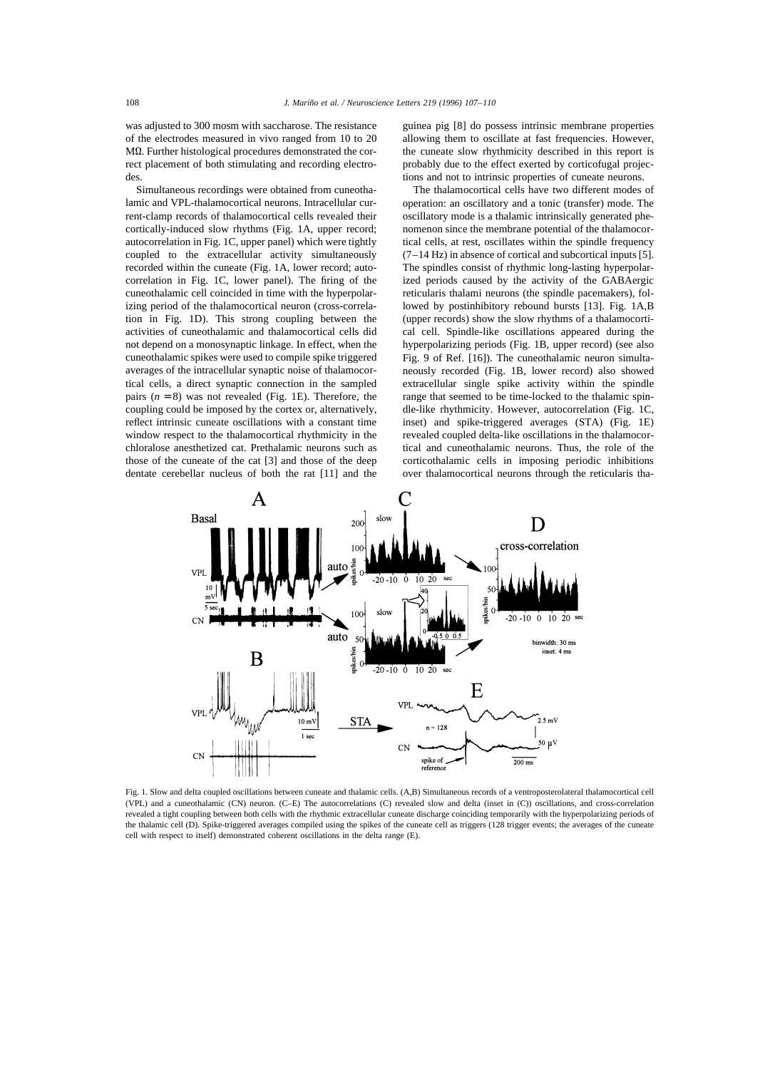was adjusted to 300 mosm with saccharose. The resistance of the electrodes measured in vivo ranged from 10 to 20 MQ. Further histological procedures demonstrated the correct placement of both stimulating and recording electrodes.

Simultaneous recordings were obtained from cuneothalamic and VPL-thalamocortical neurons. Intracellular current-clamp records of thalamocortical cells revealed their cortically-induced slow rhythms (Fig. 1A, upper record; autocorrelation in Fig. 1C, upper panel) which were tightly coupled to the extracellular activity simultaneously recorded within the cuneate (Fig. 1A, lower record; autocorrelation in Fig. 1C, lower panel). The firing of the cuneothalamic cell coincided in time with the hyperpolarizing period of the thalamocortical neuron (cross-correlation in Fig. 1D). This strong coupling between the activities of cuneothalamic and thalamocortical cells did not depend on a monosynaptic linkage. In effect, when the cuneothalamic spikes were used to compile spike triggered averages of the intracellular synaptic noise of thalamocortical cells, a direct synaptic connection in the sampled pairs  $(n = 8)$  was not revealed (Fig. 1E). Therefore, the coupling could be imposed by the cortex or, alternatively, reflect intrinsic cuneate oscillations with a constant time window respect to the thalamocortical rhythmicity in the chloralose anesthetized cat. Prethalamic neurons such as those of the cuneate of the cat [3] and those of the deep dentate cerebellar nucleus of both the rat [11] and the guinea pig [8] do possess intrinsic membrane properties allowing them to oscillate at fast frequencies. However, the cuneate slow rhythmicity described in this report is probably due to the effect exerted by corticofugal projections and not to intrinsic properties of cuneate neurons.

The thalamocortical cells have two different modes of operation: an oscillatory and a tonic (transfer) mode. The oscillatory mode is a thalamic intrinsically generated phenomenon since the membrane potential of the thalamocortical cells, at rest, oscillates within the spindle frequency  $(7-14 \text{ Hz})$  in absence of cortical and subcortical inputs [5]. The spindles consist of rhythmic long-lasting hyperpolarized periods caused by the activity of the GABAergic reticularis thalami neurons (the spindle pacemakers), followed by postinhibitory rebound bursts [13]. Fig. 1A,B (upper records) show the slow rhythms of a thalamocortical cell. Spindle-like oscillations appeared during the hyperpolarizing periods (Fig. 1B, upper record) (see also Fig. 9 of Ref. [16]). The cuneothalamic neuron simultaneously recorded (Fig. 1B, lower record) also showed extracellular single spike activity within the spindle range that seemed to be time-locked to the thalamic spindle-like rhythmicity. However, autocorrelation (Fig. 1C, inset) and spike-triggered averages (STA) (Fig. 1E) revealed coupled delta-like oscillations in the thalamocortical and cuneothalamic neurons. Thus, the role of the corticothalamic cells in imposing periodic inhibitions over thalamocortical neurons through the reticularis tha-



Fig. 1. Slow and delta coupled oscillations between cuneate and thalamic cells. (A,B) Simultaneous records of a ventroposterolateral thalamocortical cell (VPL) and a cuneothalamic (CN) neuron. (C–E) The autocorrelations (C) revealed slow and delta (inset in (C)) oscillations, and cross-correlation revealed a tight coupling between both cells with the rhythmic extracellular cuneate discharge coinciding temporarily with the hyperpolarizing periods of the thalamic cell (D). Spike-triggered averages compiled using the spikes of the cuneate cell as triggers (128 trigger events; the averages of the cuneate cell with respect to itself) demonstrated coherent oscillations in the delta range (E).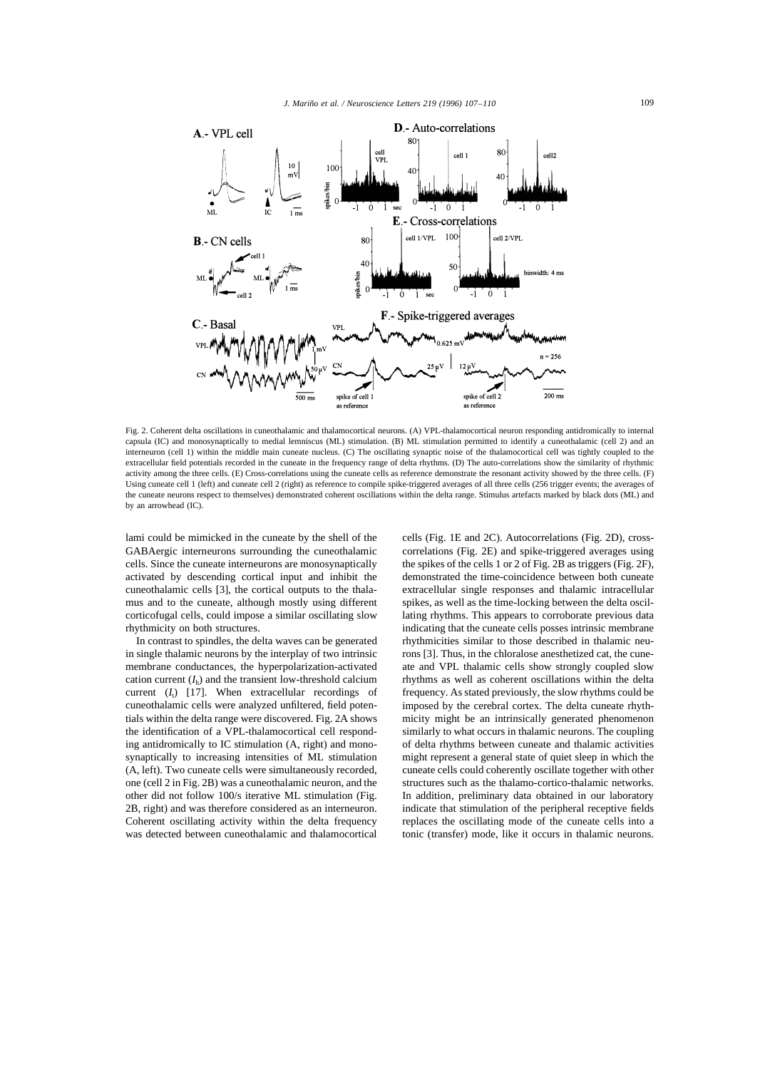

Fig. 2. Coherent delta oscillations in cuneothalamic and thalamocortical neurons. (A) VPL-thalamocortical neuron responding antidromically to internal capsula (IC) and monosynaptically to medial lemniscus (ML) stimulation. (B) ML stimulation permitted to identify a cuneothalamic (cell 2) and an interneuron (cell 1) within the middle main cuneate nucleus. (C) The oscillating synaptic noise of the thalamocortical cell was tightly coupled to the extracellular field potentials recorded in the cuneate in the frequency range of delta rhythms. (D) The auto-correlations show the similarity of rhythmic activity among the three cells. (E) Cross-correlations using the cuneate cells as reference demonstrate the resonant activity showed by the three cells. (F) Using cuneate cell 1 (left) and cuneate cell 2 (right) as reference to compile spike-triggered averages of all three cells (256 trigger events; the averages of the cuneate neurons respect to themselves) demonstrated coherent oscillations within the delta range. Stimulus artefacts marked by black dots (ML) and by an arrowhead (IC).

lami could be mimicked in the cuneate by the shell of the GABAergic interneurons surrounding the cuneothalamic cells. Since the cuneate interneurons are monosynaptically activated by descending cortical input and inhibit the cuneothalamic cells [3], the cortical outputs to the thalamus and to the cuneate, although mostly using different corticofugal cells, could impose a similar oscillating slow rhythmicity on both structures.

In contrast to spindles, the delta waves can be generated in single thalamic neurons by the interplay of two intrinsic membrane conductances, the hyperpolarization-activated cation current  $(I_h)$  and the transient low-threshold calcium current  $(I_t)$  [17]. When extracellular recordings of cuneothalamic cells were analyzed unfiltered, field potentials within the delta range were discovered. Fig. 2A shows the identification of a VPL-thalamocortical cell responding antidromically to IC stimulation (A, right) and monosynaptically to increasing intensities of ML stimulation (A, left). Two cuneate cells were simultaneously recorded, one (cell 2 in Fig. 2B) was a cuneothalamic neuron, and the other did not follow 100/s iterative ML stimulation (Fig. 2B, right) and was therefore considered as an interneuron. Coherent oscillating activity within the delta frequency was detected between cuneothalamic and thalamocortical

cells (Fig. 1E and 2C). Autocorrelations (Fig. 2D), crosscorrelations (Fig. 2E) and spike-triggered averages using the spikes of the cells 1 or 2 of Fig. 2B as triggers (Fig. 2F), demonstrated the time-coincidence between both cuneate extracellular single responses and thalamic intracellular spikes, as well as the time-locking between the delta oscillating rhythms. This appears to corroborate previous data indicating that the cuneate cells posses intrinsic membrane rhythmicities similar to those described in thalamic neurons [3]. Thus, in the chloralose anesthetized cat, the cuneate and VPL thalamic cells show strongly coupled slow rhythms as well as coherent oscillations within the delta frequency. As stated previously, the slow rhythms could be imposed by the cerebral cortex. The delta cuneate rhythmicity might be an intrinsically generated phenomenon similarly to what occurs in thalamic neurons. The coupling of delta rhythms between cuneate and thalamic activities might represent a general state of quiet sleep in which the cuneate cells could coherently oscillate together with other structures such as the thalamo-cortico-thalamic networks. In addition, preliminary data obtained in our laboratory indicate that stimulation of the peripheral receptive fields replaces the oscillating mode of the cuneate cells into a tonic (transfer) mode, like it occurs in thalamic neurons.